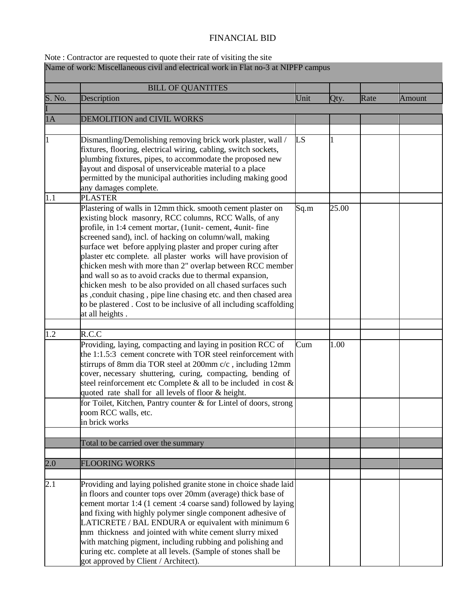## FINANCIAL BID

## Note : Contractor are requested to quote their rate of visiting the site Name of work: Miscellaneous civil and electrical work in Flat no-3 at NIPFP campus

|                  | <b>BILL OF QUANTITES</b>                                                                                                                                                                                                                                                                                                                                                                                                                                                                                                                                                                                                                                                                                                             |      |       |      |               |
|------------------|--------------------------------------------------------------------------------------------------------------------------------------------------------------------------------------------------------------------------------------------------------------------------------------------------------------------------------------------------------------------------------------------------------------------------------------------------------------------------------------------------------------------------------------------------------------------------------------------------------------------------------------------------------------------------------------------------------------------------------------|------|-------|------|---------------|
| S. No.           | Description                                                                                                                                                                                                                                                                                                                                                                                                                                                                                                                                                                                                                                                                                                                          | Unit | Qty.  | Rate | <b>Amount</b> |
|                  |                                                                                                                                                                                                                                                                                                                                                                                                                                                                                                                                                                                                                                                                                                                                      |      |       |      |               |
| 1A               | <b>DEMOLITION and CIVIL WORKS</b>                                                                                                                                                                                                                                                                                                                                                                                                                                                                                                                                                                                                                                                                                                    |      |       |      |               |
|                  |                                                                                                                                                                                                                                                                                                                                                                                                                                                                                                                                                                                                                                                                                                                                      |      |       |      |               |
| 1                | Dismantling/Demolishing removing brick work plaster, wall /<br>fixtures, flooring, electrical wiring, cabling, switch sockets,<br>plumbing fixtures, pipes, to accommodate the proposed new<br>layout and disposal of unserviceable material to a place<br>permitted by the municipal authorities including making good<br>any damages complete.                                                                                                                                                                                                                                                                                                                                                                                     | LS   |       |      |               |
| 1.1              | <b>PLASTER</b>                                                                                                                                                                                                                                                                                                                                                                                                                                                                                                                                                                                                                                                                                                                       |      |       |      |               |
|                  | Plastering of walls in 12mm thick. smooth cement plaster on<br>existing block masonry, RCC columns, RCC Walls, of any<br>profile, in 1:4 cement mortar, (1unit-cement, 4unit-fine<br>screened sand), incl. of hacking on column/wall, making<br>surface wet before applying plaster and proper curing after<br>plaster etc complete. all plaster works will have provision of<br>chicken mesh with more than 2" overlap between RCC member<br>and wall so as to avoid cracks due to thermal expansion,<br>chicken mesh to be also provided on all chased surfaces such<br>as , conduit chasing, pipe line chasing etc. and then chased area<br>to be plastered. Cost to be inclusive of all including scaffolding<br>at all heights. | Sq.m | 25.00 |      |               |
| 1.2              | R.C.C                                                                                                                                                                                                                                                                                                                                                                                                                                                                                                                                                                                                                                                                                                                                |      |       |      |               |
|                  | Providing, laying, compacting and laying in position RCC of<br>the 1:1.5:3 cement concrete with TOR steel reinforcement with<br>stirrups of 8mm dia TOR steel at 200mm c/c, including 12mm<br>cover, necessary shuttering, curing, compacting, bending of<br>steel reinforcement etc Complete $\&$ all to be included in cost $\&$<br>quoted rate shall for all levels of floor & height.                                                                                                                                                                                                                                                                                                                                            | Cum  | 1.00  |      |               |
|                  | for Toilet, Kitchen, Pantry counter & for Lintel of doors, strong<br>room RCC walls, etc.<br>in brick works                                                                                                                                                                                                                                                                                                                                                                                                                                                                                                                                                                                                                          |      |       |      |               |
|                  |                                                                                                                                                                                                                                                                                                                                                                                                                                                                                                                                                                                                                                                                                                                                      |      |       |      |               |
|                  | Total to be carried over the summary                                                                                                                                                                                                                                                                                                                                                                                                                                                                                                                                                                                                                                                                                                 |      |       |      |               |
|                  |                                                                                                                                                                                                                                                                                                                                                                                                                                                                                                                                                                                                                                                                                                                                      |      |       |      |               |
| 2.0              | <b>FLOORING WORKS</b>                                                                                                                                                                                                                                                                                                                                                                                                                                                                                                                                                                                                                                                                                                                |      |       |      |               |
|                  |                                                                                                                                                                                                                                                                                                                                                                                                                                                                                                                                                                                                                                                                                                                                      |      |       |      |               |
| $\overline{2.1}$ | Providing and laying polished granite stone in choice shade laid<br>in floors and counter tops over 20mm (average) thick base of<br>cement mortar 1:4 (1 cement :4 coarse sand) followed by laying<br>and fixing with highly polymer single component adhesive of<br>LATICRETE / BAL ENDURA or equivalent with minimum 6<br>mm thickness and jointed with white cement slurry mixed<br>with matching pigment, including rubbing and polishing and<br>curing etc. complete at all levels. (Sample of stones shall be<br>got approved by Client / Architect).                                                                                                                                                                          |      |       |      |               |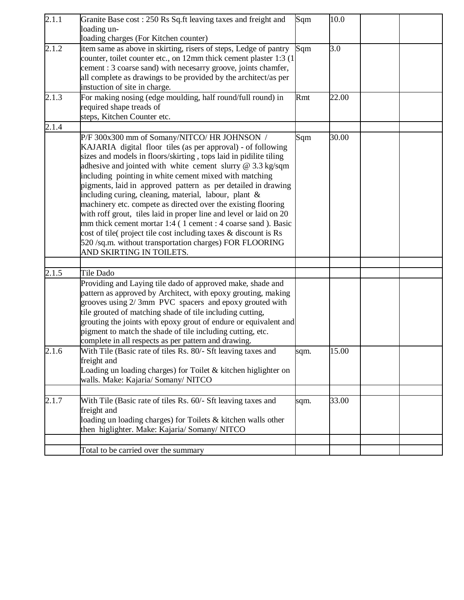| 2.1.1 | Granite Base cost: 250 Rs Sq.ft leaving taxes and freight and<br>loading un-                                                                                                                                                                                                                                                                                                                                                                                                                                                                                                                                                                                                                                                                                                                          | Sqm  | 10.0  |  |
|-------|-------------------------------------------------------------------------------------------------------------------------------------------------------------------------------------------------------------------------------------------------------------------------------------------------------------------------------------------------------------------------------------------------------------------------------------------------------------------------------------------------------------------------------------------------------------------------------------------------------------------------------------------------------------------------------------------------------------------------------------------------------------------------------------------------------|------|-------|--|
|       | loading charges (For Kitchen counter)                                                                                                                                                                                                                                                                                                                                                                                                                                                                                                                                                                                                                                                                                                                                                                 |      |       |  |
| 2.1.2 | item same as above in skirting, risers of steps, Ledge of pantry<br>counter, toilet counter etc., on 12mm thick cement plaster 1:3 (1)<br>cement: 3 coarse sand) with necesarry groove, joints chamfer,<br>all complete as drawings to be provided by the architect/as per<br>instuction of site in charge.                                                                                                                                                                                                                                                                                                                                                                                                                                                                                           | Sqm  | 3.0   |  |
| 2.1.3 | For making nosing (edge moulding, half round/full round) in<br>required shape treads of<br>steps, Kitchen Counter etc.                                                                                                                                                                                                                                                                                                                                                                                                                                                                                                                                                                                                                                                                                | Rmt  | 22.00 |  |
| 2.1.4 |                                                                                                                                                                                                                                                                                                                                                                                                                                                                                                                                                                                                                                                                                                                                                                                                       |      |       |  |
|       | P/F 300x300 mm of Somany/NITCO/ HR JOHNSON /<br>KAJARIA digital floor tiles (as per approval) - of following<br>sizes and models in floors/skirting, tops laid in pidilite tiling<br>adhesive and jointed with white cement slurry @ 3.3 kg/sqm<br>including pointing in white cement mixed with matching<br>pigments, laid in approved pattern as per detailed in drawing<br>including curing, cleaning, material, labour, plant &<br>machinery etc. compete as directed over the existing flooring<br>with roff grout, tiles laid in proper line and level or laid on 20<br>mm thick cement mortar 1:4 (1 cement : 4 coarse sand). Basic<br>cost of tile( project tile cost including taxes & discount is Rs<br>520 /sq.m. without transportation charges) FOR FLOORING<br>AND SKIRTING IN TOILETS. | Sqm  | 30.00 |  |
|       |                                                                                                                                                                                                                                                                                                                                                                                                                                                                                                                                                                                                                                                                                                                                                                                                       |      |       |  |
| 2.1.5 | Tile Dado<br>Providing and Laying tile dado of approved make, shade and<br>pattern as approved by Architect, with epoxy grouting, making<br>grooves using 2/3mm PVC spacers and epoxy grouted with<br>tile grouted of matching shade of tile including cutting,<br>grouting the joints with epoxy grout of endure or equivalent and<br>pigment to match the shade of tile including cutting, etc.<br>complete in all respects as per pattern and drawing.                                                                                                                                                                                                                                                                                                                                             |      |       |  |
| 2.1.6 | With Tile (Basic rate of tiles Rs. 80/- Sft leaving taxes and<br>freight and<br>Loading un loading charges) for Toilet & kitchen higlighter on<br>walls. Make: Kajaria/ Somany/ NITCO                                                                                                                                                                                                                                                                                                                                                                                                                                                                                                                                                                                                                 | sqm. | 15.00 |  |
| 2.1.7 | With Tile (Basic rate of tiles Rs. 60/- Sft leaving taxes and<br>freight and<br>loading un loading charges) for Toilets & kitchen walls other<br>then higlighter. Make: Kajaria/ Somany/ NITCO                                                                                                                                                                                                                                                                                                                                                                                                                                                                                                                                                                                                        | sqm. | 33.00 |  |
|       |                                                                                                                                                                                                                                                                                                                                                                                                                                                                                                                                                                                                                                                                                                                                                                                                       |      |       |  |
|       | Total to be carried over the summary                                                                                                                                                                                                                                                                                                                                                                                                                                                                                                                                                                                                                                                                                                                                                                  |      |       |  |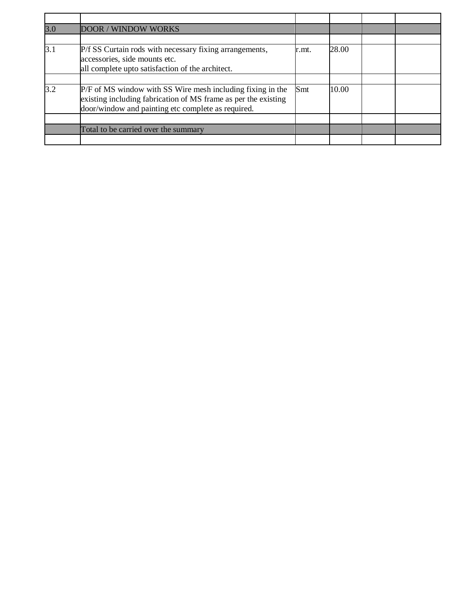| 3.0 | <b>DOOR / WINDOW WORKS</b>                                                                                                                                                         |       |       |  |
|-----|------------------------------------------------------------------------------------------------------------------------------------------------------------------------------------|-------|-------|--|
|     |                                                                                                                                                                                    |       |       |  |
| 3.1 | P/f SS Curtain rods with necessary fixing arrangements,<br>accessories, side mounts etc.<br>all complete upto satisfaction of the architect.                                       | r.mt. | 28.00 |  |
|     |                                                                                                                                                                                    |       |       |  |
| 3.2 | P/F of MS window with SS Wire mesh including fixing in the<br>existing including fabrication of MS frame as per the existing<br>door/window and painting etc complete as required. | Smt   | 10.00 |  |
|     |                                                                                                                                                                                    |       |       |  |
|     | Total to be carried over the summary                                                                                                                                               |       |       |  |
|     |                                                                                                                                                                                    |       |       |  |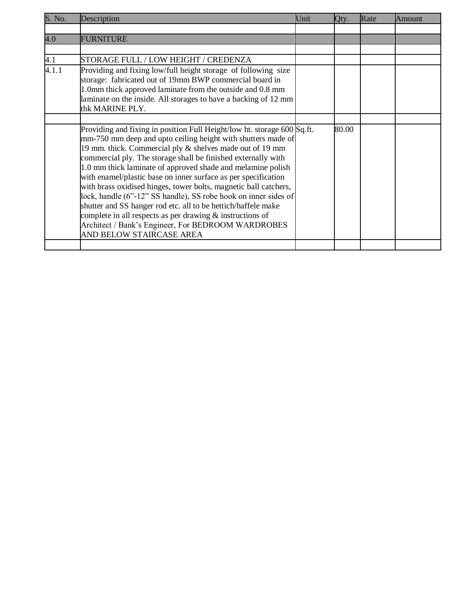| S. No. | Description                                                                                                                                                                                                                                                                                                                                                                                                                                                                                                                                                                                                                                                                                                                                                     | Unit | Qty.  | Rate | Amount |
|--------|-----------------------------------------------------------------------------------------------------------------------------------------------------------------------------------------------------------------------------------------------------------------------------------------------------------------------------------------------------------------------------------------------------------------------------------------------------------------------------------------------------------------------------------------------------------------------------------------------------------------------------------------------------------------------------------------------------------------------------------------------------------------|------|-------|------|--------|
|        |                                                                                                                                                                                                                                                                                                                                                                                                                                                                                                                                                                                                                                                                                                                                                                 |      |       |      |        |
| 4.0    | <b>FURNITURE</b>                                                                                                                                                                                                                                                                                                                                                                                                                                                                                                                                                                                                                                                                                                                                                |      |       |      |        |
|        |                                                                                                                                                                                                                                                                                                                                                                                                                                                                                                                                                                                                                                                                                                                                                                 |      |       |      |        |
| 4.1    | STORAGE FULL / LOW HEIGHT / CREDENZA                                                                                                                                                                                                                                                                                                                                                                                                                                                                                                                                                                                                                                                                                                                            |      |       |      |        |
| 4.1.1  | Providing and fixing low/full height storage of following size<br>storage: fabricated out of 19mm BWP commercial board in<br>1.0mm thick approved laminate from the outside and 0.8 mm<br>laminate on the inside. All storages to have a backing of 12 mm<br>thk MARINE PLY.                                                                                                                                                                                                                                                                                                                                                                                                                                                                                    |      |       |      |        |
|        | Providing and fixing in position Full Height/low ht. storage 600 Sq.ft.<br>mm-750 mm deep and upto ceiling height with shutters made of<br>19 mm. thick. Commercial ply & shelves made out of 19 mm<br>commercial ply. The storage shall be finished externally with<br>1.0 mm thick laminate of approved shade and melamine polish<br>with enamel/plastic base on inner surface as per specification<br>with brass oxidised hinges, tower bolts, magnetic ball catchers,<br>lock, handle (6"-12" SS handle), SS robe hook on inner sides of<br>shutter and SS hanger rod etc. all to be hettich/haffele make<br>complete in all respects as per drawing $\&$ instructions of<br>Architect / Bank's Engineer, For BEDROOM WARDROBES<br>AND BELOW STAIRCASE AREA |      | 80.00 |      |        |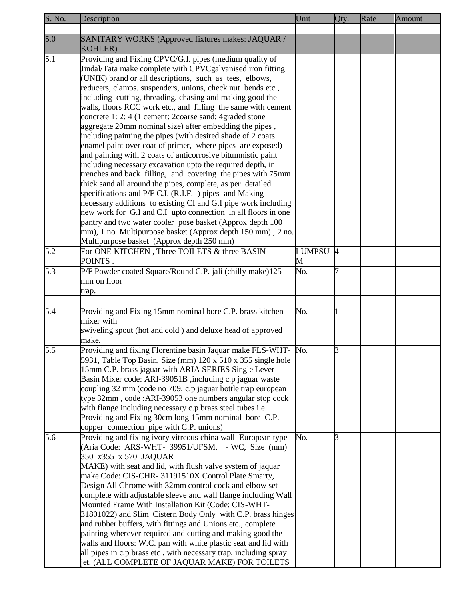| S. No. | Description                                                                                                                                | Unit     | Qty. | Rate | <b>Amount</b> |
|--------|--------------------------------------------------------------------------------------------------------------------------------------------|----------|------|------|---------------|
|        |                                                                                                                                            |          |      |      |               |
| 5.0    | SANITARY WORKS (Approved fixtures makes: JAQUAR /                                                                                          |          |      |      |               |
|        | <b>KOHLER)</b>                                                                                                                             |          |      |      |               |
| 5.1    | Providing and Fixing CPVC/G.I. pipes (medium quality of                                                                                    |          |      |      |               |
|        | Jindal/Tata make complete with CPVCgalvanised iron fitting                                                                                 |          |      |      |               |
|        | (UNIK) brand or all descriptions, such as tees, elbows,                                                                                    |          |      |      |               |
|        | reducers, clamps. suspenders, unions, check nut bends etc.,                                                                                |          |      |      |               |
|        | including cutting, threading, chasing and making good the                                                                                  |          |      |      |               |
|        | walls, floors RCC work etc., and filling the same with cement                                                                              |          |      |      |               |
|        | concrete 1: 2: 4 (1 cement: 2coarse sand: 4 graded stone                                                                                   |          |      |      |               |
|        | aggregate 20mm nominal size) after embedding the pipes,                                                                                    |          |      |      |               |
|        | including painting the pipes (with desired shade of 2 coats                                                                                |          |      |      |               |
|        | enamel paint over coat of primer, where pipes are exposed)<br>and painting with 2 coats of anticorrosive bitumnistic paint                 |          |      |      |               |
|        | including necessary excavation upto the required depth, in                                                                                 |          |      |      |               |
|        | trenches and back filling, and covering the pipes with 75mm                                                                                |          |      |      |               |
|        | thick sand all around the pipes, complete, as per detailed                                                                                 |          |      |      |               |
|        | specifications and P/F C.I. (R.I.F. ) pipes and Making                                                                                     |          |      |      |               |
|        | necessary additions to existing CI and G.I pipe work including                                                                             |          |      |      |               |
|        | new work for G.I and C.I upto connection in all floors in one                                                                              |          |      |      |               |
|        | pantry and two water cooler pose basket (Approx depth 100                                                                                  |          |      |      |               |
|        | mm), 1 no. Multipurpose basket (Approx depth 150 mm), 2 no.                                                                                |          |      |      |               |
|        | Multipurpose basket (Approx depth 250 mm)                                                                                                  |          |      |      |               |
| 5.2    | For ONE KITCHEN, Three TOILETS & three BASIN                                                                                               | LUMPSU 4 |      |      |               |
|        | POINTS.                                                                                                                                    | M        |      |      |               |
| 5.3    | P/F Powder coated Square/Round C.P. jali (chilly make)125                                                                                  | No.      |      |      |               |
|        | mm on floor                                                                                                                                |          |      |      |               |
|        | trap.                                                                                                                                      |          |      |      |               |
|        |                                                                                                                                            |          |      |      |               |
| 5.4    | Providing and Fixing 15mm nominal bore C.P. brass kitchen                                                                                  | No.      |      |      |               |
|        | mixer with                                                                                                                                 |          |      |      |               |
|        | swiveling spout (hot and cold) and deluxe head of approved                                                                                 |          |      |      |               |
|        | make.                                                                                                                                      |          |      |      |               |
| 5.5    | Providing and fixing Florentine basin Jaquar make FLS-WHT- No.<br>5931, Table Top Basin, Size (mm) $120 \times 510 \times 355$ single hole |          | ß    |      |               |
|        | 15mm C.P. brass jaguar with ARIA SERIES Single Lever                                                                                       |          |      |      |               |
|        | Basin Mixer code: ARI-39051B, including c.p jaguar waste                                                                                   |          |      |      |               |
|        | coupling 32 mm (code no 709, c.p jaguar bottle trap european                                                                               |          |      |      |               |
|        | type 32mm, code: ARI-39053 one numbers angular stop cock                                                                                   |          |      |      |               |
|        | with flange including necessary c.p brass steel tubes i.e                                                                                  |          |      |      |               |
|        | Providing and Fixing 30cm long 15mm nominal bore C.P.                                                                                      |          |      |      |               |
|        | copper connection pipe with C.P. unions)                                                                                                   |          |      |      |               |
| 5.6    | Providing and fixing ivory vitreous china wall European type                                                                               | No.      | B    |      |               |
|        | (Aria Code: ARS-WHT- 39951/UFSM, - WC, Size (mm)                                                                                           |          |      |      |               |
|        | 350 x355 x 570 JAQUAR                                                                                                                      |          |      |      |               |
|        | MAKE) with seat and lid, with flush valve system of jaquar                                                                                 |          |      |      |               |
|        | make Code: CIS-CHR- 31191510X Control Plate Smarty,                                                                                        |          |      |      |               |
|        | Design All Chrome with 32mm control cock and elbow set                                                                                     |          |      |      |               |
|        | complete with adjustable sleeve and wall flange including Wall                                                                             |          |      |      |               |
|        | Mounted Frame With Installation Kit (Code: CIS-WHT-                                                                                        |          |      |      |               |
|        | 31801022) and Slim Cistern Body Only with C.P. brass hinges                                                                                |          |      |      |               |
|        | and rubber buffers, with fittings and Unions etc., complete<br>painting wherever required and cutting and making good the                  |          |      |      |               |
|        | walls and floors: W.C. pan with white plastic seat and lid with                                                                            |          |      |      |               |
|        | all pipes in c.p brass etc. with necessary trap, including spray                                                                           |          |      |      |               |
|        | jet. (ALL COMPLETE OF JAQUAR MAKE) FOR TOILETS                                                                                             |          |      |      |               |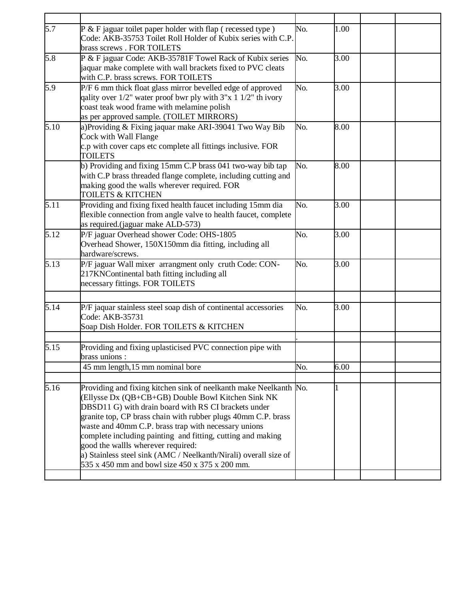| 5.7  | $P$ & F jaguar toilet paper holder with flap (recessed type)<br>Code: AKB-35753 Toilet Roll Holder of Kubix series with C.P. | No. | 1.00              |  |
|------|------------------------------------------------------------------------------------------------------------------------------|-----|-------------------|--|
|      | brass screws . FOR TOILETS                                                                                                   |     |                   |  |
| 5.8  |                                                                                                                              | No. | 3.00              |  |
|      | P & F jaguar Code: AKB-35781F Towel Rack of Kubix series<br>jaquar make complete with wall brackets fixed to PVC cleats      |     |                   |  |
|      | with C.P. brass screws. FOR TOILETS                                                                                          |     |                   |  |
| 5.9  | P/F 6 mm thick float glass mirror bevelled edge of approved                                                                  | No. | 3.00              |  |
|      | qality over $1/2$ " water proof bwr ply with $3"x 1 1/2"$ th ivory                                                           |     |                   |  |
|      | coast teak wood frame with melamine polish                                                                                   |     |                   |  |
|      | as per approved sample. (TOILET MIRRORS)                                                                                     |     |                   |  |
| 5.10 |                                                                                                                              | No. | 8.00              |  |
|      | a)Providing & Fixing jaquar make ARI-39041 Two Way Bib                                                                       |     |                   |  |
|      | Cock with Wall Flange                                                                                                        |     |                   |  |
|      | c.p with cover caps etc complete all fittings inclusive. FOR<br><b>TOILETS</b>                                               |     |                   |  |
|      |                                                                                                                              | No. |                   |  |
|      | b) Providing and fixing 15mm C.P brass 041 two-way bib tap                                                                   |     | 8.00              |  |
|      | with C.P brass threaded flange complete, including cutting and                                                               |     |                   |  |
|      | making good the walls wherever required. FOR<br><b>TOILETS &amp; KITCHEN</b>                                                 |     |                   |  |
|      |                                                                                                                              |     |                   |  |
| 5.11 | Providing and fixing fixed health faucet including 15mm dia                                                                  | No. | 3.00              |  |
|      | flexible connection from angle valve to health faucet, complete                                                              |     |                   |  |
|      | as required.(jaguar make ALD-573)                                                                                            |     |                   |  |
| 5.12 | P/F jaguar Overhead shower Code: OHS-1805                                                                                    | No. | $\overline{3.00}$ |  |
|      | Overhead Shower, 150X150mm dia fitting, including all                                                                        |     |                   |  |
|      | hardware/screws.                                                                                                             |     |                   |  |
| 5.13 | P/F jaguar Wall mixer arrangment only cruth Code: CON-                                                                       | No. | 3.00              |  |
|      | 217KNContinental bath fitting including all                                                                                  |     |                   |  |
|      | necessary fittings. FOR TOILETS                                                                                              |     |                   |  |
|      |                                                                                                                              |     |                   |  |
| 5.14 | P/F jaquar stainless steel soap dish of continental accessories                                                              | No. | 3.00              |  |
|      | Code: AKB-35731                                                                                                              |     |                   |  |
|      | Soap Dish Holder. FOR TOILETS & KITCHEN                                                                                      |     |                   |  |
|      |                                                                                                                              |     |                   |  |
| 5.15 | Providing and fixing uplasticised PVC connection pipe with                                                                   |     |                   |  |
|      | brass unions :                                                                                                               |     |                   |  |
|      | 45 mm length, 15 mm nominal bore                                                                                             | No. | 6.00              |  |
|      |                                                                                                                              |     |                   |  |
| 5.16 | Providing and fixing kitchen sink of neelkanth make Neelkanth No.                                                            |     |                   |  |
|      | (Ellysse Dx (QB+CB+GB) Double Bowl Kitchen Sink NK                                                                           |     |                   |  |
|      | DBSD11 G) with drain board with RS CI brackets under                                                                         |     |                   |  |
|      | granite top, CP brass chain with rubber plugs 40mm C.P. brass                                                                |     |                   |  |
|      | waste and 40mm C.P. brass trap with necessary unions                                                                         |     |                   |  |
|      | complete including painting and fitting, cutting and making                                                                  |     |                   |  |
|      | good the wallls wherever required:                                                                                           |     |                   |  |
|      | a) Stainless steel sink (AMC / Neelkanth/Nirali) overall size of                                                             |     |                   |  |
|      | 535 x 450 mm and bowl size 450 x 375 x 200 mm.                                                                               |     |                   |  |
|      |                                                                                                                              |     |                   |  |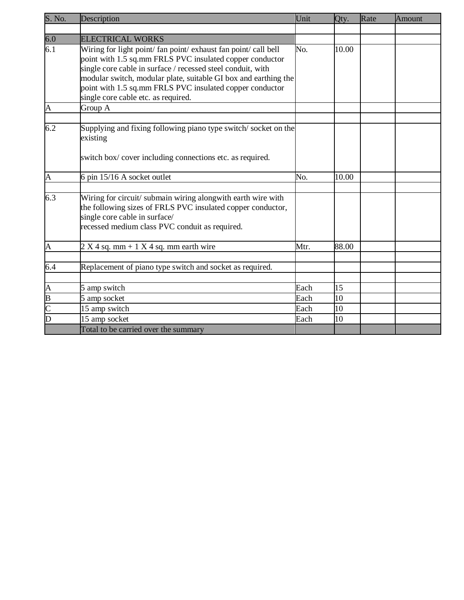| S. No.                                    | Description                                                                                                                                                                                                                                                                                                                                                      | Unit | Qty.  | Rate | Amount |
|-------------------------------------------|------------------------------------------------------------------------------------------------------------------------------------------------------------------------------------------------------------------------------------------------------------------------------------------------------------------------------------------------------------------|------|-------|------|--------|
|                                           |                                                                                                                                                                                                                                                                                                                                                                  |      |       |      |        |
| $\frac{6.0}{6.1}$                         | <b>ELECTRICAL WORKS</b>                                                                                                                                                                                                                                                                                                                                          |      |       |      |        |
|                                           | Wiring for light point/ fan point/ exhaust fan point/ call bell<br>point with 1.5 sq.mm FRLS PVC insulated copper conductor<br>single core cable in surface / recessed steel conduit, with<br>modular switch, modular plate, suitable GI box and earthing the<br>point with 1.5 sq.mm FRLS PVC insulated copper conductor<br>single core cable etc. as required. | No.  | 10.00 |      |        |
| A                                         | Group A                                                                                                                                                                                                                                                                                                                                                          |      |       |      |        |
| 6.2                                       | Supplying and fixing following piano type switch/socket on the<br>existing<br>switch box/ cover including connections etc. as required.                                                                                                                                                                                                                          |      |       |      |        |
|                                           |                                                                                                                                                                                                                                                                                                                                                                  | No.  | 10.00 |      |        |
| A                                         | 6 pin 15/16 A socket outlet                                                                                                                                                                                                                                                                                                                                      |      |       |      |        |
| 6.3                                       | Wiring for circuit/ submain wiring alongwith earth wire with<br>the following sizes of FRLS PVC insulated copper conductor,<br>single core cable in surface/<br>recessed medium class PVC conduit as required.                                                                                                                                                   |      |       |      |        |
| A                                         | $2 X 4 sq. mm + 1 X 4 sq. mm earth wire$                                                                                                                                                                                                                                                                                                                         | Mtr. | 88.00 |      |        |
| 6.4                                       | Replacement of piano type switch and socket as required.                                                                                                                                                                                                                                                                                                         |      |       |      |        |
|                                           | 5 amp switch                                                                                                                                                                                                                                                                                                                                                     | Each | 15    |      |        |
|                                           | 5 amp socket                                                                                                                                                                                                                                                                                                                                                     | Each | 10    |      |        |
| $\frac{A}{B}$ $\frac{B}{C}$ $\frac{C}{D}$ | 15 amp switch                                                                                                                                                                                                                                                                                                                                                    | Each | 10    |      |        |
|                                           | 15 amp socket                                                                                                                                                                                                                                                                                                                                                    | Each | 10    |      |        |
|                                           | Total to be carried over the summary                                                                                                                                                                                                                                                                                                                             |      |       |      |        |